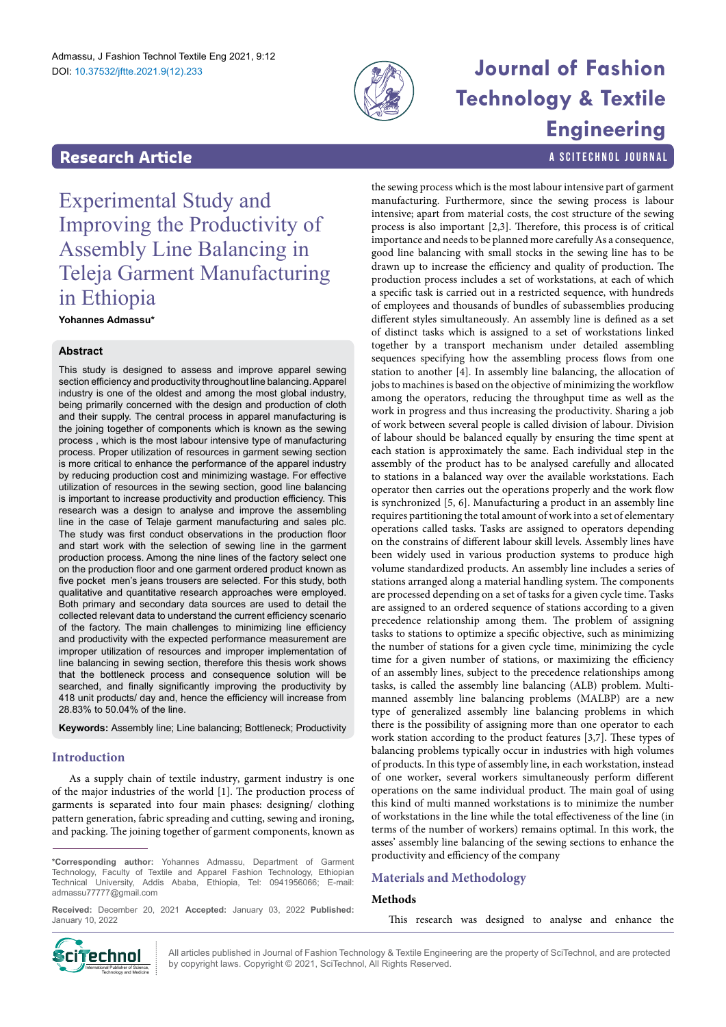

# **Journal of Fashion Technology & Textile Engineering**

a SciTechnol journal

# **Research Article**

Experimental Study and Improving the Productivity of Assembly Line Balancing in Teleja Garment Manufacturing in Ethiopia

**Yohannes Admassu\***

## **Abstract**

This study is designed to assess and improve apparel sewing section efficiency and productivity throughout line balancing. Apparel industry is one of the oldest and among the most global industry, being primarily concerned with the design and production of cloth and their supply. The central process in apparel manufacturing is the joining together of components which is known as the sewing process , which is the most labour intensive type of manufacturing process. Proper utilization of resources in garment sewing section is more critical to enhance the performance of the apparel industry by reducing production cost and minimizing wastage. For effective utilization of resources in the sewing section, good line balancing is important to increase productivity and production efficiency. This research was a design to analyse and improve the assembling line in the case of Telaje garment manufacturing and sales plc. The study was first conduct observations in the production floor and start work with the selection of sewing line in the garment production process. Among the nine lines of the factory select one on the production floor and one garment ordered product known as five pocket men's jeans trousers are selected. For this study, both qualitative and quantitative research approaches were employed. Both primary and secondary data sources are used to detail the collected relevant data to understand the current efficiency scenario of the factory. The main challenges to minimizing line efficiency and productivity with the expected performance measurement are improper utilization of resources and improper implementation of line balancing in sewing section, therefore this thesis work shows that the bottleneck process and consequence solution will be searched, and finally significantly improving the productivity by 418 unit products/ day and, hence the efficiency will increase from 28.83% to 50.04% of the line.

**Keywords:** Assembly line; Line balancing; Bottleneck; Productivity

## **Introduction**

As a supply chain of textile industry, garment industry is one of the major industries of the world [1]. The production process of garments is separated into four main phases: designing/ clothing pattern generation, fabric spreading and cutting, sewing and ironing, and packing. The joining together of garment components, known as

**Received:** December 20, 2021 **Accepted:** January 03, 2022 **Published:** January 10, 2022

the sewing process which is the most labour intensive part of garment manufacturing. Furthermore, since the sewing process is labour intensive; apart from material costs, the cost structure of the sewing process is also important [2,3]. Therefore, this process is of critical importance and needs to be planned more carefully As a consequence, good line balancing with small stocks in the sewing line has to be drawn up to increase the efficiency and quality of production. The production process includes a set of workstations, at each of which a specific task is carried out in a restricted sequence, with hundreds of employees and thousands of bundles of subassemblies producing different styles simultaneously. An assembly line is defined as a set of distinct tasks which is assigned to a set of workstations linked together by a transport mechanism under detailed assembling sequences specifying how the assembling process flows from one station to another [4]. In assembly line balancing, the allocation of jobs to machines is based on the objective of minimizing the workflow among the operators, reducing the throughput time as well as the work in progress and thus increasing the productivity. Sharing a job of work between several people is called division of labour. Division of labour should be balanced equally by ensuring the time spent at each station is approximately the same. Each individual step in the assembly of the product has to be analysed carefully and allocated to stations in a balanced way over the available workstations. Each operator then carries out the operations properly and the work flow is synchronized [5, 6]. Manufacturing a product in an assembly line requires partitioning the total amount of work into a set of elementary operations called tasks. Tasks are assigned to operators depending on the constrains of different labour skill levels. Assembly lines have been widely used in various production systems to produce high volume standardized products. An assembly line includes a series of stations arranged along a material handling system. The components are processed depending on a set of tasks for a given cycle time. Tasks are assigned to an ordered sequence of stations according to a given precedence relationship among them. The problem of assigning tasks to stations to optimize a specific objective, such as minimizing the number of stations for a given cycle time, minimizing the cycle time for a given number of stations, or maximizing the efficiency of an assembly lines, subject to the precedence relationships among tasks, is called the assembly line balancing (ALB) problem. Multimanned assembly line balancing problems (MALBP) are a new type of generalized assembly line balancing problems in which there is the possibility of assigning more than one operator to each work station according to the product features [3,7]. These types of balancing problems typically occur in industries with high volumes of products. In this type of assembly line, in each workstation, instead of one worker, several workers simultaneously perform different operations on the same individual product. The main goal of using this kind of multi manned workstations is to minimize the number of workstations in the line while the total effectiveness of the line (in terms of the number of workers) remains optimal. In this work, the asses' assembly line balancing of the sewing sections to enhance the productivity and efficiency of the company

## **Materials and Methodology**

## **Methods**

This research was designed to analyse and enhance the



All articles published in Journal of Fashion Technology & Textile Engineering are the property of SciTechnol, and are protected **Ciffechnol** All articles published in Journal of Fashion Technology & Textile Engine<br>by copyright laws. Copyright © 2021, SciTechnol, All Rights Reserved.

**<sup>\*</sup>Corresponding author:** Yohannes Admassu, Department of Garment Technology, Faculty of Textile and Apparel Fashion Technology, Ethiopian Technical University, Addis Ababa, Ethiopia, Tel: 0941956066; E-mail: admassu77777@gmail.com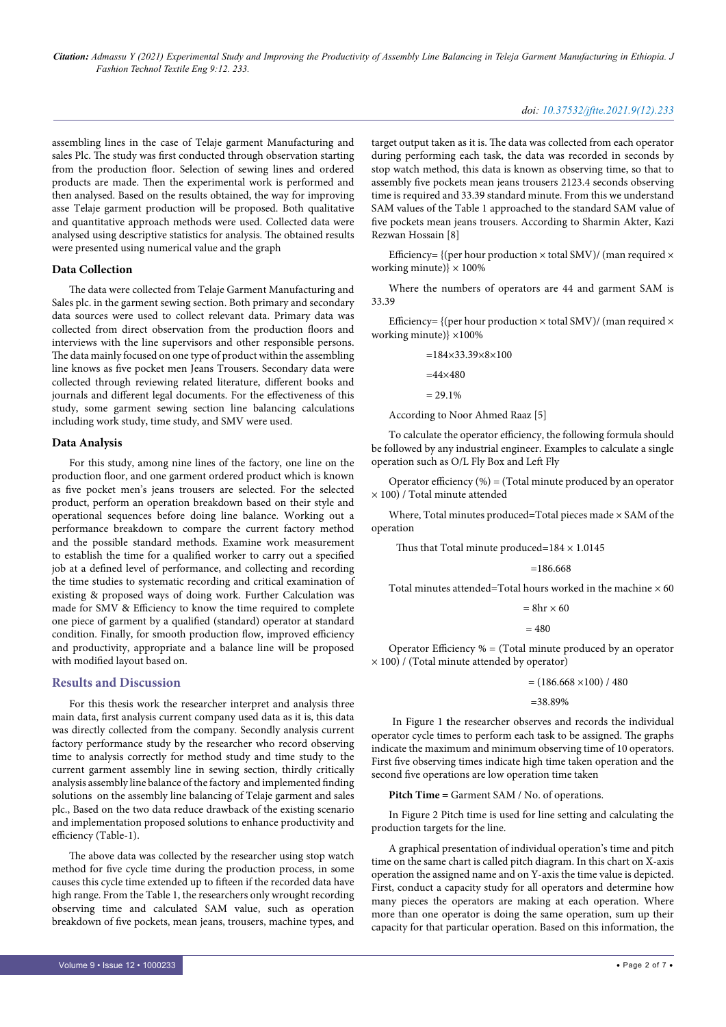assembling lines in the case of Telaje garment Manufacturing and sales Plc. The study was first conducted through observation starting from the production floor. Selection of sewing lines and ordered products are made. Then the experimental work is performed and then analysed. Based on the results obtained, the way for improving asse Telaje garment production will be proposed. Both qualitative and quantitative approach methods were used. Collected data were analysed using descriptive statistics for analysis. The obtained results were presented using numerical value and the graph

#### **Data Collection**

The data were collected from Telaje Garment Manufacturing and Sales plc. in the garment sewing section. Both primary and secondary data sources were used to collect relevant data. Primary data was collected from direct observation from the production floors and interviews with the line supervisors and other responsible persons. The data mainly focused on one type of product within the assembling line knows as five pocket men Jeans Trousers. Secondary data were collected through reviewing related literature, different books and journals and different legal documents. For the effectiveness of this study, some garment sewing section line balancing calculations including work study, time study, and SMV were used.

#### **Data Analysis**

For this study, among nine lines of the factory, one line on the production floor, and one garment ordered product which is known as five pocket men's jeans trousers are selected. For the selected product, perform an operation breakdown based on their style and operational sequences before doing line balance. Working out a performance breakdown to compare the current factory method and the possible standard methods. Examine work measurement to establish the time for a qualified worker to carry out a specified job at a defined level of performance, and collecting and recording the time studies to systematic recording and critical examination of existing & proposed ways of doing work. Further Calculation was made for SMV & Efficiency to know the time required to complete one piece of garment by a qualified (standard) operator at standard condition. Finally, for smooth production flow, improved efficiency and productivity, appropriate and a balance line will be proposed with modified layout based on.

#### **Results and Discussion**

For this thesis work the researcher interpret and analysis three main data, first analysis current company used data as it is, this data was directly collected from the company. Secondly analysis current factory performance study by the researcher who record observing time to analysis correctly for method study and time study to the current garment assembly line in sewing section, thirdly critically analysis assembly line balance of the factory and implemented finding solutions on the assembly line balancing of Telaje garment and sales plc., Based on the two data reduce drawback of the existing scenario and implementation proposed solutions to enhance productivity and efficiency (Table-1).

The above data was collected by the researcher using stop watch method for five cycle time during the production process, in some causes this cycle time extended up to fifteen if the recorded data have high range. From the Table 1, the researchers only wrought recording observing time and calculated SAM value, such as operation breakdown of five pockets, mean jeans, trousers, machine types, and

target output taken as it is. The data was collected from each operator during performing each task, the data was recorded in seconds by stop watch method, this data is known as observing time, so that to assembly five pockets mean jeans trousers 2123.4 seconds observing time is required and 33.39 standard minute. From this we understand SAM values of the Table 1 approached to the standard SAM value of five pockets mean jeans trousers. According to Sharmin Akter, Kazi Rezwan Hossain [8]

Efficiency= {(per hour production  $\times$  total SMV)/ (man required  $\times$ working minute) $\} \times 100\%$ 

Where the numbers of operators are 44 and garment SAM is 33.39

Efficiency= {(per hour production  $\times$  total SMV)/ (man required  $\times$ working minute)} ×100%

$$
=184\times33.39\times8\times100
$$

 $=44\times480$ 

 $= 29.1\%$ 

According to Noor Ahmed Raaz [5]

To calculate the operator efficiency, the following formula should be followed by any industrial engineer. Examples to calculate a single operation such as O/L Fly Box and Left Fly

Operator efficiency  $(\%)$  = (Total minute produced by an operator × 100) / Total minute attended

Where, Total minutes produced=Total pieces made × SAM of the operation

Thus that Total minute produced= $184 \times 1.0145$ 

$$
=186.668
$$

Total minutes attended=Total hours worked in the machine  $\times$  60

 $= 8hr \times 60$ 

 $= 480$ 

Operator Efficiency % = (Total minute produced by an operator  $\times$  100) / (Total minute attended by operator)

 $=(186.668\times100)/480$ 

=38.89%

 In Figure 1 **t**he researcher observes and records the individual operator cycle times to perform each task to be assigned. The graphs indicate the maximum and minimum observing time of 10 operators. First five observing times indicate high time taken operation and the second five operations are low operation time taken

**Pitch Time =** Garment SAM / No. of operations.

In Figure 2 Pitch time is used for line setting and calculating the production targets for the line.

A graphical presentation of individual operation's time and pitch time on the same chart is called pitch diagram. In this chart on X-axis operation the assigned name and on Y-axis the time value is depicted. First, conduct a capacity study for all operators and determine how many pieces the operators are making at each operation. Where more than one operator is doing the same operation, sum up their capacity for that particular operation. Based on this information, the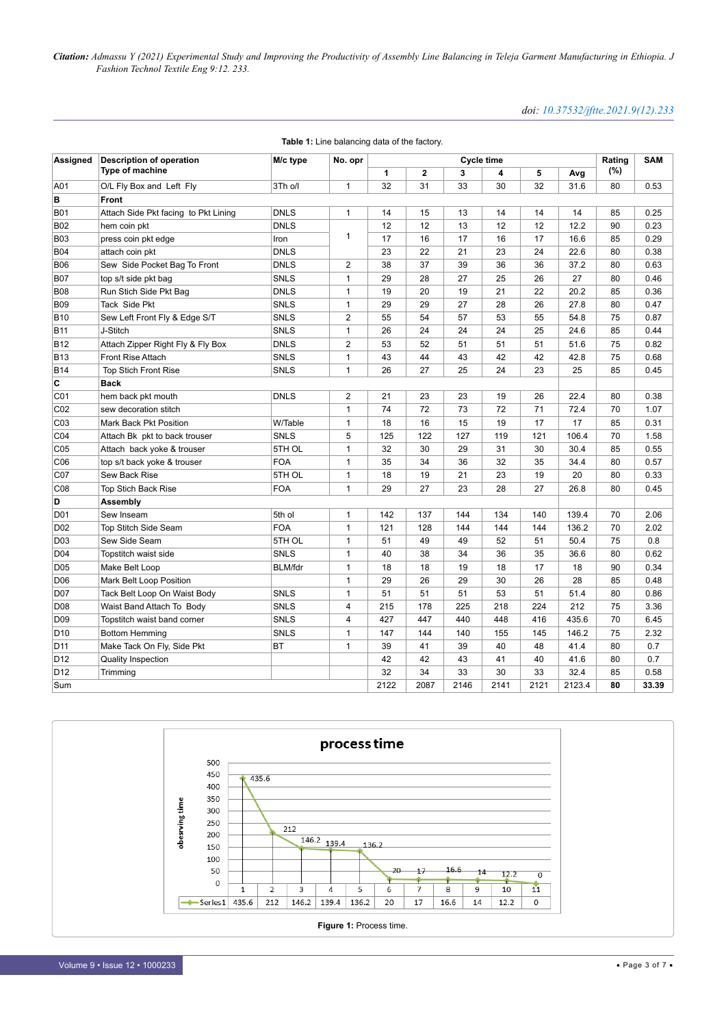## *doi: 10.37532/jftte.2021.9(12).233*

| Assigned        | Description of operation             | M/c type       | No. opr        | Cycle time   |         |      |      | Rating | <b>SAM</b> |     |       |
|-----------------|--------------------------------------|----------------|----------------|--------------|---------|------|------|--------|------------|-----|-------|
|                 | Type of machine                      |                |                | $\mathbf{1}$ | $\bf 2$ | 3    | 4    | 5      | Avg        | (%) |       |
| A01             | O/L Fly Box and Left Fly             | 3Th o/l        | $\mathbf{1}$   | 32           | 31      | 33   | 30   | 32     | 31.6       | 80  | 0.53  |
| в               | Front                                |                |                |              |         |      |      |        |            |     |       |
| <b>B01</b>      | Attach Side Pkt facing to Pkt Lining | <b>DNLS</b>    | $\mathbf{1}$   | 14           | 15      | 13   | 14   | 14     | 14         | 85  | 0.25  |
| <b>B02</b>      | hem coin pkt                         | <b>DNLS</b>    |                | 12           | 12      | 13   | 12   | 12     | 12.2       | 90  | 0.23  |
| <b>B03</b>      | press coin pkt edge                  | Iron           | 1              | 17           | 16      | 17   | 16   | 17     | 16.6       | 85  | 0.29  |
| <b>B04</b>      | attach coin pkt                      | <b>DNLS</b>    |                | 23           | 22      | 21   | 23   | 24     | 22.6       | 80  | 0.38  |
| <b>B06</b>      | Sew Side Pocket Bag To Front         | <b>DNLS</b>    | $\overline{2}$ | 38           | 37      | 39   | 36   | 36     | 37.2       | 80  | 0.63  |
| <b>B07</b>      | top s/t side pkt bag                 | <b>SNLS</b>    | $\mathbf{1}$   | 29           | 28      | 27   | 25   | 26     | 27         | 80  | 0.46  |
| <b>B08</b>      | Run Stich Side Pkt Bag               | <b>DNLS</b>    | $\mathbf{1}$   | 19           | 20      | 19   | 21   | 22     | 20.2       | 85  | 0.36  |
| <b>B09</b>      | Tack Side Pkt                        | <b>SNLS</b>    | $\mathbf{1}$   | 29           | 29      | 27   | 28   | 26     | 27.8       | 80  | 0.47  |
| <b>B10</b>      | Sew Left Front Fly & Edge S/T        | <b>SNLS</b>    | $\overline{2}$ | 55           | 54      | 57   | 53   | 55     | 54.8       | 75  | 0.87  |
| <b>B11</b>      | J-Stitch                             | <b>SNLS</b>    | $\mathbf{1}$   | 26           | 24      | 24   | 24   | 25     | 24.6       | 85  | 0.44  |
| B12             | Attach Zipper Right Fly & Fly Box    | <b>DNLS</b>    | 2              | 53           | 52      | 51   | 51   | 51     | 51.6       | 75  | 0.82  |
| <b>B13</b>      | Front Rise Attach                    | <b>SNLS</b>    | $\mathbf{1}$   | 43           | 44      | 43   | 42   | 42     | 42.8       | 75  | 0.68  |
| <b>B14</b>      | <b>Top Stich Front Rise</b>          | <b>SNLS</b>    | $\mathbf{1}$   | 26           | 27      | 25   | 24   | 23     | 25         | 85  | 0.45  |
| C               | <b>Back</b>                          |                |                |              |         |      |      |        |            |     |       |
| C <sub>01</sub> | hem back pkt mouth                   | <b>DNLS</b>    | $\overline{2}$ | 21           | 23      | 23   | 19   | 26     | 22.4       | 80  | 0.38  |
| CO <sub>2</sub> | sew decoration stitch                |                | $\mathbf{1}$   | 74           | 72      | 73   | 72   | 71     | 72.4       | 70  | 1.07  |
| C <sub>03</sub> | Mark Back Pkt Position               | W/Table        | $\mathbf{1}$   | 18           | 16      | 15   | 19   | 17     | 17         | 85  | 0.31  |
| C04             | Attach Bk pkt to back trouser        | <b>SNLS</b>    | 5              | 125          | 122     | 127  | 119  | 121    | 106.4      | 70  | 1.58  |
| C <sub>05</sub> | Attach back yoke & trouser           | 5TH OL         | $\mathbf{1}$   | 32           | 30      | 29   | 31   | 30     | 30.4       | 85  | 0.55  |
| C <sub>06</sub> | top s/t back yoke & trouser          | <b>FOA</b>     | $\mathbf{1}$   | 35           | 34      | 36   | 32   | 35     | 34.4       | 80  | 0.57  |
| CO7             | Sew Back Rise                        | 5TH OL         | $\mathbf{1}$   | 18           | 19      | 21   | 23   | 19     | 20         | 80  | 0.33  |
| CO8             | Top Stich Back Rise                  | <b>FOA</b>     | $\mathbf{1}$   | 29           | 27      | 23   | 28   | 27     | 26.8       | 80  | 0.45  |
| D               | Assembly                             |                |                |              |         |      |      |        |            |     |       |
| D01             | Sew Inseam                           | 5th ol         | $\mathbf{1}$   | 142          | 137     | 144  | 134  | 140    | 139.4      | 70  | 2.06  |
| D <sub>02</sub> | Top Stitch Side Seam                 | <b>FOA</b>     | $\mathbf{1}$   | 121          | 128     | 144  | 144  | 144    | 136.2      | 70  | 2.02  |
| D03             | Sew Side Seam                        | 5TH OL         | $\mathbf{1}$   | 51           | 49      | 49   | 52   | 51     | 50.4       | 75  | 0.8   |
| D <sub>04</sub> | Topstitch waist side                 | <b>SNLS</b>    | 1              | 40           | 38      | 34   | 36   | 35     | 36.6       | 80  | 0.62  |
| D05             | Make Belt Loop                       | <b>BLM/fdr</b> | $\mathbf{1}$   | 18           | 18      | 19   | 18   | 17     | 18         | 90  | 0.34  |
| D <sub>06</sub> | Mark Belt Loop Position              |                | $\mathbf{1}$   | 29           | 26      | 29   | 30   | 26     | 28         | 85  | 0.48  |
| D07             | Tack Belt Loop On Waist Body         | <b>SNLS</b>    | $\mathbf{1}$   | 51           | 51      | 51   | 53   | 51     | 51.4       | 80  | 0.86  |
| D08             | Waist Band Attach To Body            | <b>SNLS</b>    | 4              | 215          | 178     | 225  | 218  | 224    | 212        | 75  | 3.36  |
| D <sub>09</sub> | Topstitch waist band corner          | <b>SNLS</b>    | 4              | 427          | 447     | 440  | 448  | 416    | 435.6      | 70  | 6.45  |
| D <sub>10</sub> | <b>Bottom Hemming</b>                | <b>SNLS</b>    | $\mathbf{1}$   | 147          | 144     | 140  | 155  | 145    | 146.2      | 75  | 2.32  |
| D11             | Make Tack On Fly, Side Pkt           | <b>BT</b>      | $\mathbf{1}$   | 39           | 41      | 39   | 40   | 48     | 41.4       | 80  | 0.7   |
| D <sub>12</sub> | <b>Quality Inspection</b>            |                |                | 42           | 42      | 43   | 41   | 40     | 41.6       | 80  | 0.7   |
| D <sub>12</sub> | Trimming                             |                |                | 32           | 34      | 33   | 30   | 33     | 32.4       | 85  | 0.58  |
| Sum             |                                      |                |                | 2122         | 2087    | 2146 | 2141 | 2121   | 2123.4     | 80  | 33.39 |

**Table 1:** Line balancing data of the factory.

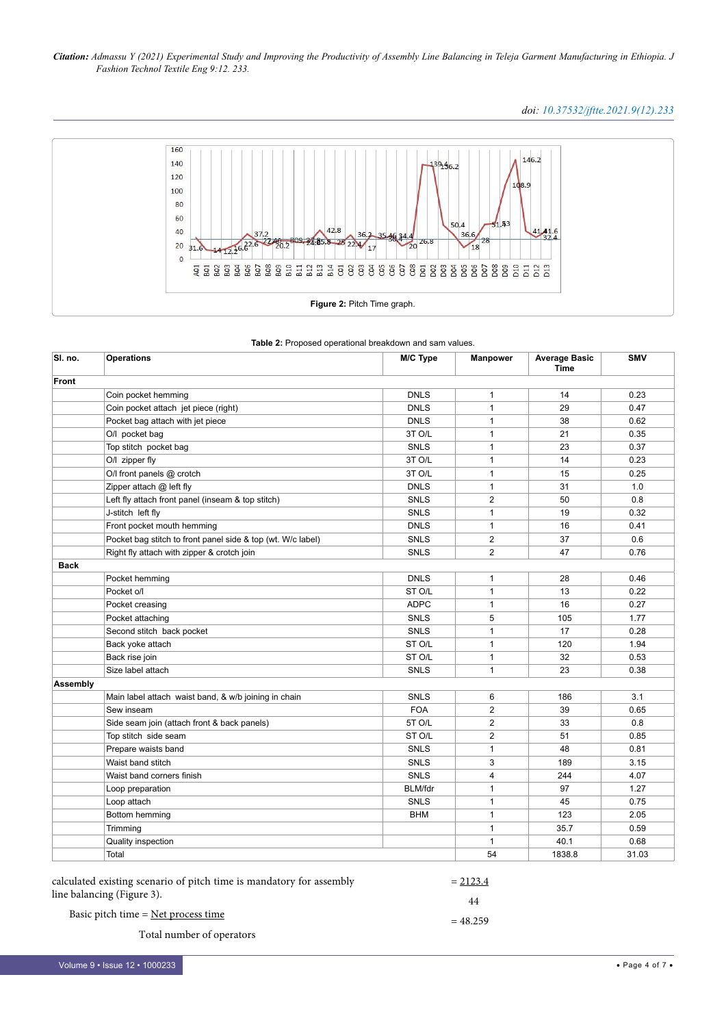## *doi: 10.37532/jftte.2021.9(12).233*



|  |  | Table 2: Proposed operational breakdown and sam values. |  |  |  |  |  |
|--|--|---------------------------------------------------------|--|--|--|--|--|
|--|--|---------------------------------------------------------|--|--|--|--|--|

| SI. no.     | <b>Operations</b>                                           | M/C Type       | <b>Manpower</b> | <b>Average Basic</b><br><b>Time</b> | <b>SMV</b> |
|-------------|-------------------------------------------------------------|----------------|-----------------|-------------------------------------|------------|
| Front       |                                                             |                |                 |                                     |            |
|             | Coin pocket hemming                                         | <b>DNLS</b>    | $\mathbf{1}$    | 14                                  | 0.23       |
|             | Coin pocket attach jet piece (right)                        | <b>DNLS</b>    | $\mathbf{1}$    | 29                                  | 0.47       |
|             | Pocket bag attach with jet piece                            | <b>DNLS</b>    | $\mathbf{1}$    | 38                                  | 0.62       |
|             | O/I pocket bag                                              | 3T O/L         | $\mathbf{1}$    | 21                                  | 0.35       |
|             | Top stitch pocket bag                                       | <b>SNLS</b>    | $\mathbf{1}$    | 23                                  | 0.37       |
|             | O/I zipper fly                                              | 3T O/L         | $\mathbf{1}$    | 14                                  | 0.23       |
|             | O/I front panels @ crotch                                   | 3T O/L         | $\mathbf{1}$    | 15                                  | 0.25       |
|             | Zipper attach @ left fly                                    | <b>DNLS</b>    | $\mathbf{1}$    | 31                                  | 1.0        |
|             | Left fly attach front panel (inseam & top stitch)           | <b>SNLS</b>    | 2               | 50                                  | 0.8        |
|             | J-stitch left fly                                           | SNLS           | 1               | 19                                  | 0.32       |
|             | Front pocket mouth hemming                                  | <b>DNLS</b>    | 1               | 16                                  | 0.41       |
|             | Pocket bag stitch to front panel side & top (wt. W/c label) | <b>SNLS</b>    | $\overline{2}$  | 37                                  | 0.6        |
|             | Right fly attach with zipper & crotch join                  | <b>SNLS</b>    | $\overline{2}$  | 47                                  | 0.76       |
| <b>Back</b> |                                                             |                |                 |                                     |            |
|             | Pocket hemming                                              | <b>DNLS</b>    | $\mathbf{1}$    | 28                                  | 0.46       |
|             | Pocket o/l                                                  | ST O/L         | $\mathbf{1}$    | 13                                  | 0.22       |
|             | Pocket creasing                                             | <b>ADPC</b>    | $\mathbf{1}$    | 16                                  | 0.27       |
|             | Pocket attaching                                            | SNLS           | 5               | 105                                 | 1.77       |
|             | Second stitch back pocket                                   | <b>SNLS</b>    | $\mathbf{1}$    | 17                                  | 0.28       |
|             | Back yoke attach                                            | ST O/L         | $\mathbf{1}$    | 120                                 | 1.94       |
|             | Back rise join                                              | ST O/L         | $\mathbf{1}$    | 32                                  | 0.53       |
|             | Size label attach                                           | <b>SNLS</b>    | $\mathbf{1}$    | 23                                  | 0.38       |
| Assembly    |                                                             |                |                 |                                     |            |
|             | Main label attach waist band, & w/b joining in chain        | <b>SNLS</b>    | 6               | 186                                 | 3.1        |
|             | Sew inseam                                                  | <b>FOA</b>     | $\overline{2}$  | 39                                  | 0.65       |
|             | Side seam join (attach front & back panels)                 | 5T O/L         | $\overline{2}$  | 33                                  | 0.8        |
|             | Top stitch side seam                                        | ST O/L         | 2               | 51                                  | 0.85       |
|             | Prepare waists band                                         | SNLS           | $\mathbf{1}$    | 48                                  | 0.81       |
|             | Waist band stitch                                           | <b>SNLS</b>    | 3               | 189                                 | 3.15       |
|             | Waist band corners finish                                   | SNLS           | $\overline{4}$  | 244                                 | 4.07       |
|             | Loop preparation                                            | <b>BLM/fdr</b> | $\mathbf{1}$    | 97                                  | 1.27       |
|             | Loop attach                                                 | SNLS           | $\mathbf{1}$    | 45                                  | 0.75       |
|             | Bottom hemming                                              | <b>BHM</b>     | 1               | 123                                 | 2.05       |
|             | Trimming                                                    |                | 1               | 35.7                                | 0.59       |
|             | Quality inspection                                          |                | $\mathbf{1}$    | 40.1                                | 0.68       |
|             | Total                                                       |                | 54              | 1838.8                              | 31.03      |

| calculated existing scenario of pitch time is mandatory for assembly | $= 2123.4$ |
|----------------------------------------------------------------------|------------|
| line balancing (Figure 3).                                           | 44         |
| Basic pitch time $=$ Net process time                                | $= 48.259$ |
| Total number of operators                                            |            |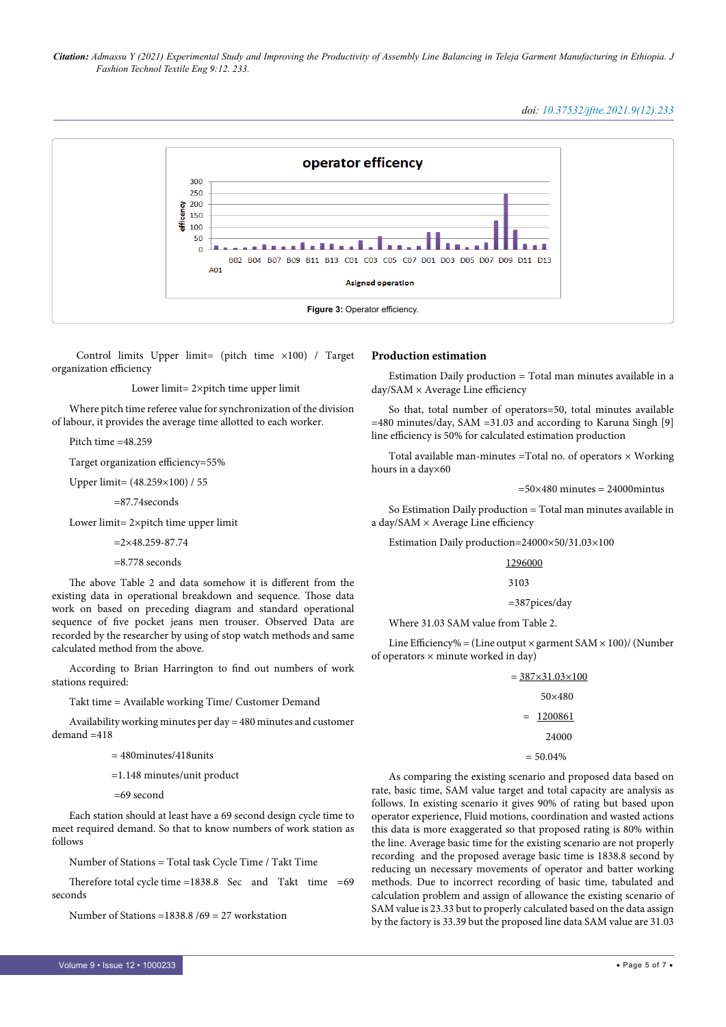### *doi: 10.37532/jftte.2021.9(12).233*



 Control limits Upper limit= (pitch time ×100) / Target organization efficiency

Lower limit= 2×pitch time upper limit

Where pitch time referee value for synchronization of the division of labour, it provides the average time allotted to each worker.

Pitch time =48.259

Target organization efficiency=55%

Upper limit= (48.259×100) / 55

=87.74seconds

Lower limit= 2×pitch time upper limit

 $=2\times48.259 - 87.74$ 

=8.778 seconds

The above Table 2 and data somehow it is different from the existing data in operational breakdown and sequence. Those data work on based on preceding diagram and standard operational sequence of five pocket jeans men trouser. Observed Data are recorded by the researcher by using of stop watch methods and same calculated method from the above.

According to Brian Harrington to find out numbers of work stations required:

Takt time = Available working Time/ Customer Demand

Availability working minutes per day = 480 minutes and customer  $d$ emand  $=418$ 

= 480minutes/418units

=1.148 minutes/unit product

=69 second

Each station should at least have a 69 second design cycle time to meet required demand. So that to know numbers of work station as follows

Number of Stations = Total task Cycle Time / Takt Time

Therefore total cycle time =1838.8 Sec and Takt time =69 seconds

Number of Stations =1838.8 /69 = 27 workstation

#### **Production estimation**

Estimation Daily production = Total man minutes available in a day/SAM × Average Line efficiency

So that, total number of operators=50, total minutes available  $=480$  minutes/day, SAM  $=31.03$  and according to Karuna Singh [9] line efficiency is 50% for calculated estimation production

Total available man-minutes = Total no. of operators  $\times$  Working hours in a day×60

 $=50\times480$  minutes  $= 24000$  minuts

So Estimation Daily production = Total man minutes available in a day/SAM × Average Line efficiency

Estimation Daily production=24000×50/31.03×100

1296000

#### 3103

```
 =387pices/day
```
Where 31.03 SAM value from Table 2.

Line Efficiency% = (Line output  $\times$  garment SAM  $\times$  100)/ (Number of operators  $\times$  minute worked in day)

#### $= 387 \times 31.03 \times 100$

#### 50×480

 $= 1200861$ 

24000

```
= 50.04\%
```
As comparing the existing scenario and proposed data based on rate, basic time, SAM value target and total capacity are analysis as follows. In existing scenario it gives 90% of rating but based upon operator experience, Fluid motions, coordination and wasted actions this data is more exaggerated so that proposed rating is 80% within the line. Average basic time for the existing scenario are not properly recording and the proposed average basic time is 1838.8 second by reducing un necessary movements of operator and batter working methods. Due to incorrect recording of basic time, tabulated and calculation problem and assign of allowance the existing scenario of SAM value is 23.33 but to properly calculated based on the data assign by the factory is 33.39 but the proposed line data SAM value are 31.03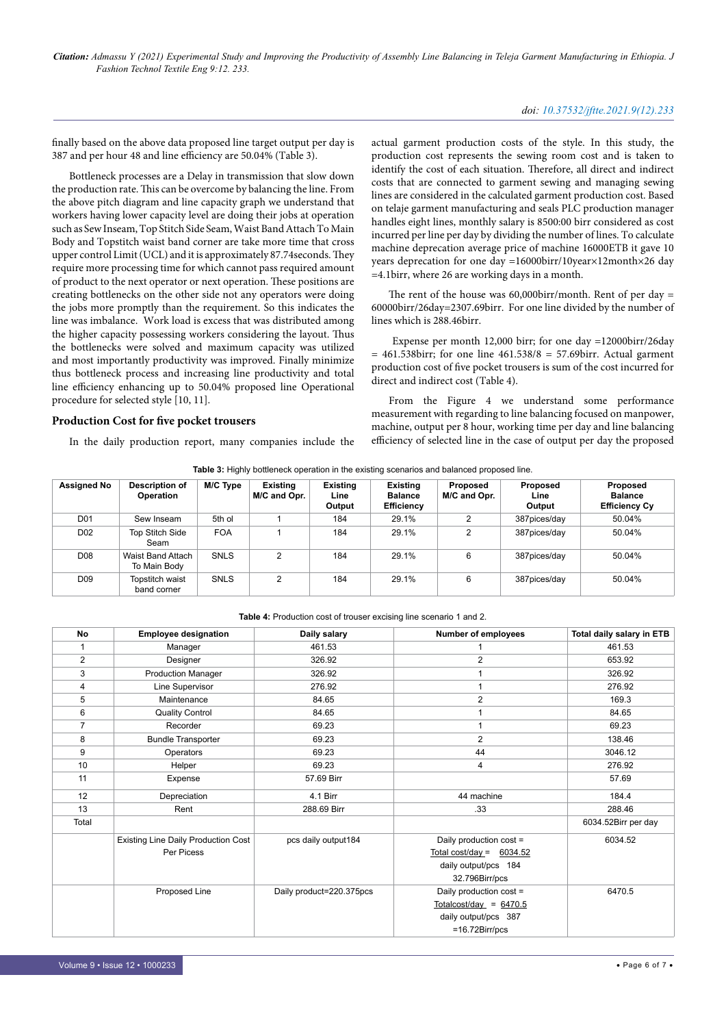### *doi: 10.37532/jftte.2021.9(12).233*

finally based on the above data proposed line target output per day is 387 and per hour 48 and line efficiency are 50.04% (Table 3).

Bottleneck processes are a Delay in transmission that slow down the production rate. This can be overcome by balancing the line. From the above pitch diagram and line capacity graph we understand that workers having lower capacity level are doing their jobs at operation such as Sew Inseam, Top Stitch Side Seam, Waist Band Attach To Main Body and Topstitch waist band corner are take more time that cross upper control Limit (UCL) and it is approximately 87.74seconds. They require more processing time for which cannot pass required amount of product to the next operator or next operation. These positions are creating bottlenecks on the other side not any operators were doing the jobs more promptly than the requirement. So this indicates the line was imbalance. Work load is excess that was distributed among the higher capacity possessing workers considering the layout. Thus the bottlenecks were solved and maximum capacity was utilized and most importantly productivity was improved. Finally minimize thus bottleneck process and increasing line productivity and total line efficiency enhancing up to 50.04% proposed line Operational procedure for selected style [10, 11].

#### **Production Cost for five pocket trousers**

In the daily production report, many companies include the

actual garment production costs of the style. In this study, the production cost represents the sewing room cost and is taken to identify the cost of each situation. Therefore, all direct and indirect costs that are connected to garment sewing and managing sewing lines are considered in the calculated garment production cost. Based on telaje garment manufacturing and seals PLC production manager handles eight lines, monthly salary is 8500:00 birr considered as cost incurred per line per day by dividing the number of lines. To calculate machine deprecation average price of machine 16000ETB it gave 10 years deprecation for one day =16000birr/10year×12month×26 day =4.1birr, where 26 are working days in a month.

The rent of the house was  $60,000$ birr/month. Rent of per day = 60000birr/26day=2307.69birr. For one line divided by the number of lines which is 288.46birr.

 Expense per month 12,000 birr; for one day =12000birr/26day  $= 461.538$ birr; for one line  $461.538/8 = 57.69$ birr. Actual garment production cost of five pocket trousers is sum of the cost incurred for direct and indirect cost (Table 4).

From the Figure 4 we understand some performance measurement with regarding to line balancing focused on manpower, machine, output per 8 hour, working time per day and line balancing efficiency of selected line in the case of output per day the proposed

| Table 3: Highly bottleneck operation in the existing scenarios and balanced proposed line. |  |  |  |  |
|--------------------------------------------------------------------------------------------|--|--|--|--|
|--------------------------------------------------------------------------------------------|--|--|--|--|

| <b>Assigned No</b> | <b>Description of</b><br><b>Operation</b> | M/C Type    | Existing<br>M/C and Opr. | <b>Existing</b><br>Line<br>Output | <b>Existing</b><br><b>Balance</b><br>Efficiency | Proposed<br>M/C and Opr. | Proposed<br>Line<br>Output | Proposed<br><b>Balance</b><br><b>Efficiency Cy</b> |
|--------------------|-------------------------------------------|-------------|--------------------------|-----------------------------------|-------------------------------------------------|--------------------------|----------------------------|----------------------------------------------------|
| D <sub>01</sub>    | Sew Inseam                                | 5th ol      |                          | 184                               | 29.1%                                           | ົ                        | 387pices/day               | 50.04%                                             |
| D <sub>02</sub>    | Top Stitch Side<br>Seam                   | <b>FOA</b>  |                          | 184                               | 29.1%                                           | 2                        | 387pices/day               | 50.04%                                             |
| D <sub>08</sub>    | Waist Band Attach<br>To Main Body         | SNLS        | C                        | 184                               | 29.1%                                           | 6                        | 387pices/day               | 50.04%                                             |
| D <sub>09</sub>    | Topstitch waist<br>band corner            | <b>SNLS</b> | 2                        | 184                               | 29.1%                                           | 6                        | 387pices/day               | 50.04%                                             |

**Table 4:** Production cost of trouser excising line scenario 1 and 2.

| No             | <b>Employee designation</b>                | Daily salary             | Number of employees        | Total daily salary in ETB |
|----------------|--------------------------------------------|--------------------------|----------------------------|---------------------------|
| 1              | Manager                                    | 461.53                   |                            | 461.53                    |
| $\overline{c}$ | Designer                                   | 326.92                   | 2                          | 653.92                    |
| 3              | <b>Production Manager</b>                  | 326.92                   | 1                          | 326.92                    |
| 4              | Line Supervisor                            | 276.92                   |                            | 276.92                    |
| 5              | Maintenance                                | 84.65                    | $\overline{2}$             | 169.3                     |
| 6              | <b>Quality Control</b>                     | 84.65                    |                            | 84.65                     |
| $\overline{7}$ | Recorder                                   | 69.23                    | 1                          | 69.23                     |
| 8              | <b>Bundle Transporter</b>                  | 69.23                    | $\overline{2}$             | 138.46                    |
| 9              | Operators                                  | 69.23                    | 44                         | 3046.12                   |
| 10             | Helper                                     | 69.23                    | 4                          | 276.92                    |
| 11             | Expense                                    | 57.69 Birr               |                            | 57.69                     |
| 12             | Depreciation                               | 4.1 Birr                 | 44 machine                 | 184.4                     |
| 13             | Rent                                       | 288.69 Birr              | .33                        | 288.46                    |
| Total          |                                            |                          |                            | 6034.52Birr per day       |
|                | <b>Existing Line Daily Production Cost</b> | pcs daily output184      | Daily production cost =    | 6034.52                   |
|                | Per Picess                                 |                          | Total cost/day = $6034.52$ |                           |
|                |                                            |                          | daily output/pcs 184       |                           |
|                |                                            |                          | 32.796Birr/pcs             |                           |
|                | Proposed Line                              | Daily product=220.375pcs | Daily production cost =    | 6470.5                    |
|                |                                            |                          | Totalcost/day = $6470.5$   |                           |
|                |                                            |                          | daily output/pcs 387       |                           |
|                |                                            |                          | $=16.72Birr/pcs$           |                           |